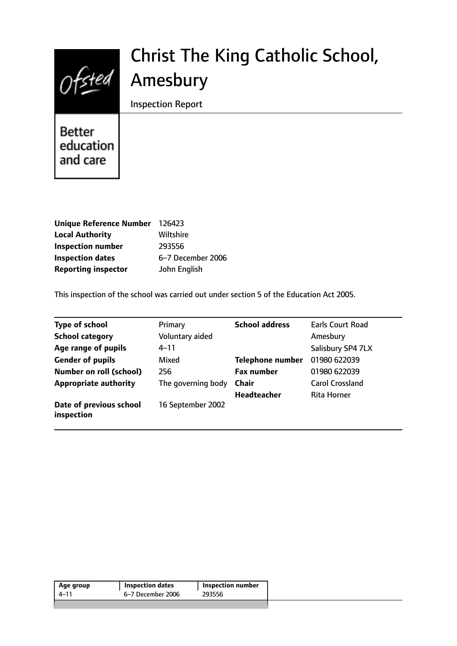# $Ofsted$

# Christ The King Catholic School, Amesbury

Inspection Report

Better education and care

| Unique Reference Number 126423 |                   |
|--------------------------------|-------------------|
| <b>Local Authority</b>         | Wiltshire         |
| <b>Inspection number</b>       | 293556            |
| <b>Inspection dates</b>        | 6-7 December 2006 |
| <b>Reporting inspector</b>     | John English      |

This inspection of the school was carried out under section 5 of the Education Act 2005.

| <b>Type of school</b>                 | Primary            | <b>School address</b>   | Earls Court Road       |
|---------------------------------------|--------------------|-------------------------|------------------------|
| <b>School category</b>                | Voluntary aided    |                         | Amesbury               |
| Age range of pupils                   | $4 - 11$           |                         | Salisbury SP4 7LX      |
| <b>Gender of pupils</b>               | Mixed              | <b>Telephone number</b> | 01980 622039           |
| <b>Number on roll (school)</b>        | 256                | <b>Fax number</b>       | 01980 622039           |
| <b>Appropriate authority</b>          | The governing body | <b>Chair</b>            | <b>Carol Crossland</b> |
|                                       |                    | <b>Headteacher</b>      | <b>Rita Horner</b>     |
| Date of previous school<br>inspection | 16 September 2002  |                         |                        |

| Age group | <b>Inspection dates</b> | Inspection number |
|-----------|-------------------------|-------------------|
| 4–11      | 6–7 December 2006       | 293556            |
|           |                         |                   |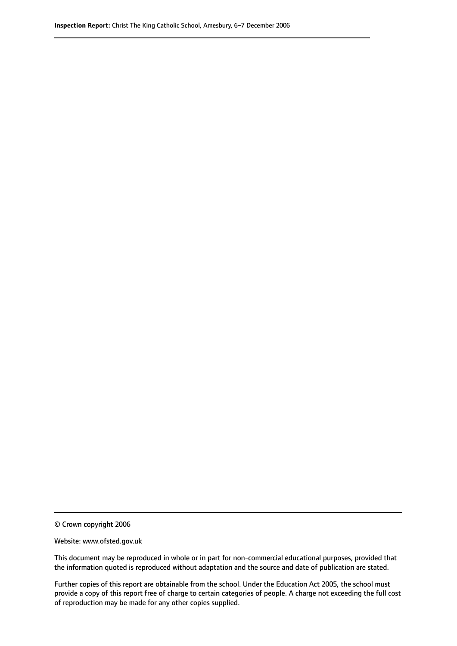© Crown copyright 2006

Website: www.ofsted.gov.uk

This document may be reproduced in whole or in part for non-commercial educational purposes, provided that the information quoted is reproduced without adaptation and the source and date of publication are stated.

Further copies of this report are obtainable from the school. Under the Education Act 2005, the school must provide a copy of this report free of charge to certain categories of people. A charge not exceeding the full cost of reproduction may be made for any other copies supplied.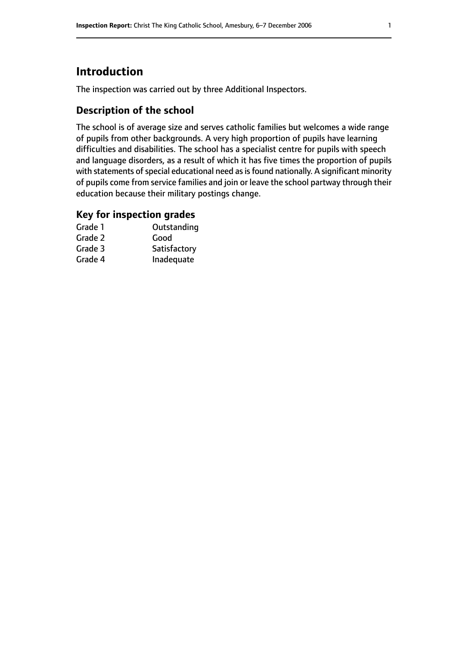# **Introduction**

The inspection was carried out by three Additional Inspectors.

# **Description of the school**

The school is of average size and serves catholic families but welcomes a wide range of pupils from other backgrounds. A very high proportion of pupils have learning difficulties and disabilities. The school has a specialist centre for pupils with speech and language disorders, as a result of which it has five times the proportion of pupils with statements of special educational need as is found nationally. A significant minority of pupils come from service families and join or leave the school partway through their education because their military postings change.

#### **Key for inspection grades**

| Grade 1 | Outstanding  |
|---------|--------------|
| Grade 2 | Good         |
| Grade 3 | Satisfactory |
| Grade 4 | Inadequate   |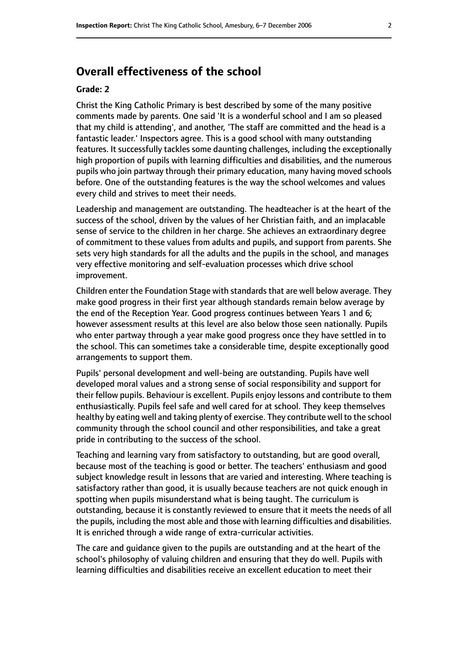# **Overall effectiveness of the school**

#### **Grade: 2**

Christ the King Catholic Primary is best described by some of the many positive comments made by parents. One said 'It is a wonderful school and I am so pleased that my child is attending', and another, 'The staff are committed and the head is a fantastic leader.' Inspectors agree. This is a good school with many outstanding features. It successfully tackles some daunting challenges, including the exceptionally high proportion of pupils with learning difficulties and disabilities, and the numerous pupils who join partway through their primary education, many having moved schools before. One of the outstanding features is the way the school welcomes and values every child and strives to meet their needs.

Leadership and management are outstanding. The headteacher is at the heart of the success of the school, driven by the values of her Christian faith, and an implacable sense of service to the children in her charge. She achieves an extraordinary degree of commitment to these values from adults and pupils, and support from parents. She sets very high standards for all the adults and the pupils in the school, and manages very effective monitoring and self-evaluation processes which drive school improvement.

Children enter the Foundation Stage with standards that are well below average. They make good progress in their first year although standards remain below average by the end of the Reception Year. Good progress continues between Years 1 and 6; however assessment results at this level are also below those seen nationally. Pupils who enter partway through a year make good progress once they have settled in to the school. This can sometimes take a considerable time, despite exceptionally good arrangements to support them.

Pupils' personal development and well-being are outstanding. Pupils have well developed moral values and a strong sense of social responsibility and support for their fellow pupils. Behaviour is excellent. Pupils enjoy lessons and contribute to them enthusiastically. Pupils feel safe and well cared for at school. They keep themselves healthy by eating well and taking plenty of exercise. They contribute well to the school community through the school council and other responsibilities, and take a great pride in contributing to the success of the school.

Teaching and learning vary from satisfactory to outstanding, but are good overall, because most of the teaching is good or better. The teachers' enthusiasm and good subject knowledge result in lessons that are varied and interesting. Where teaching is satisfactory rather than good, it is usually because teachers are not quick enough in spotting when pupils misunderstand what is being taught. The curriculum is outstanding, because it is constantly reviewed to ensure that it meets the needs of all the pupils, including the most able and those with learning difficulties and disabilities. It is enriched through a wide range of extra-curricular activities.

The care and guidance given to the pupils are outstanding and at the heart of the school's philosophy of valuing children and ensuring that they do well. Pupils with learning difficulties and disabilities receive an excellent education to meet their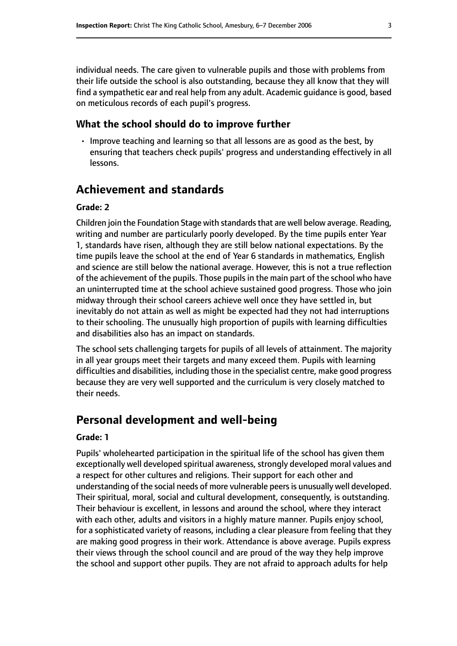individual needs. The care given to vulnerable pupils and those with problems from their life outside the school is also outstanding, because they all know that they will find a sympathetic ear and real help from any adult. Academic guidance is good, based on meticulous records of each pupil's progress.

#### **What the school should do to improve further**

• Improve teaching and learning so that all lessons are as good as the best, by ensuring that teachers check pupils' progress and understanding effectively in all lessons.

# **Achievement and standards**

#### **Grade: 2**

Children join the Foundation Stage with standards that are well below average. Reading, writing and number are particularly poorly developed. By the time pupils enter Year 1, standards have risen, although they are still below national expectations. By the time pupils leave the school at the end of Year 6 standards in mathematics, English and science are still below the national average. However, this is not a true reflection of the achievement of the pupils. Those pupils in the main part of the school who have an uninterrupted time at the school achieve sustained good progress. Those who join midway through their school careers achieve well once they have settled in, but inevitably do not attain as well as might be expected had they not had interruptions to their schooling. The unusually high proportion of pupils with learning difficulties and disabilities also has an impact on standards.

The school sets challenging targets for pupils of all levels of attainment. The majority in all year groups meet their targets and many exceed them. Pupils with learning difficulties and disabilities, including those in the specialist centre, make good progress because they are very well supported and the curriculum is very closely matched to their needs.

# **Personal development and well-being**

#### **Grade: 1**

Pupils' wholehearted participation in the spiritual life of the school has given them exceptionally well developed spiritual awareness, strongly developed moral values and a respect for other cultures and religions. Their support for each other and understanding of the social needs of more vulnerable peersis unusually well developed. Their spiritual, moral, social and cultural development, consequently, is outstanding. Their behaviour is excellent, in lessons and around the school, where they interact with each other, adults and visitors in a highly mature manner. Pupils enjoy school, for a sophisticated variety of reasons, including a clear pleasure from feeling that they are making good progress in their work. Attendance is above average. Pupils express their views through the school council and are proud of the way they help improve the school and support other pupils. They are not afraid to approach adults for help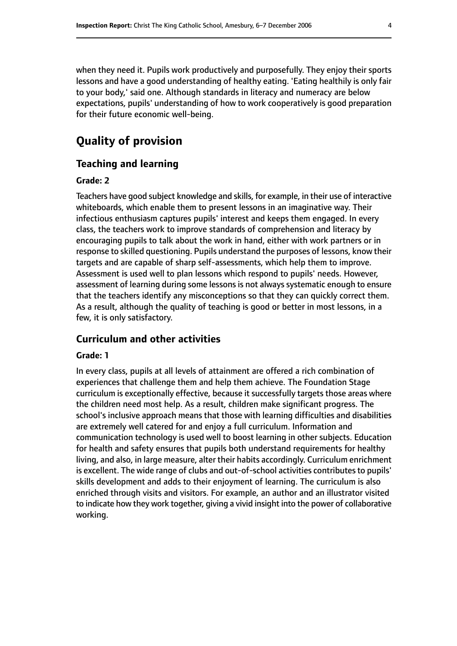when they need it. Pupils work productively and purposefully. They enjoy their sports lessons and have a good understanding of healthy eating. 'Eating healthily is only fair to your body,' said one. Although standards in literacy and numeracy are below expectations, pupils' understanding of how to work cooperatively is good preparation for their future economic well-being.

# **Quality of provision**

#### **Teaching and learning**

#### **Grade: 2**

Teachers have good subject knowledge and skills, for example, in their use of interactive whiteboards, which enable them to present lessons in an imaginative way. Their infectious enthusiasm captures pupils' interest and keeps them engaged. In every class, the teachers work to improve standards of comprehension and literacy by encouraging pupils to talk about the work in hand, either with work partners or in response to skilled questioning. Pupils understand the purposes of lessons, know their targets and are capable of sharp self-assessments, which help them to improve. Assessment is used well to plan lessons which respond to pupils' needs. However, assessment of learning during some lessons is not always systematic enough to ensure that the teachers identify any misconceptions so that they can quickly correct them. As a result, although the quality of teaching is good or better in most lessons, in a few, it is only satisfactory.

#### **Curriculum and other activities**

#### **Grade: 1**

In every class, pupils at all levels of attainment are offered a rich combination of experiences that challenge them and help them achieve. The Foundation Stage curriculum is exceptionally effective, because it successfully targets those areas where the children need most help. As a result, children make significant progress. The school's inclusive approach means that those with learning difficulties and disabilities are extremely well catered for and enjoy a full curriculum. Information and communication technology is used well to boost learning in other subjects. Education for health and safety ensures that pupils both understand requirements for healthy living, and also, in large measure, alter their habits accordingly. Curriculum enrichment is excellent. The wide range of clubs and out-of-school activities contributes to pupils' skills development and adds to their enjoyment of learning. The curriculum is also enriched through visits and visitors. For example, an author and an illustrator visited to indicate how they work together, giving a vivid insight into the power of collaborative working.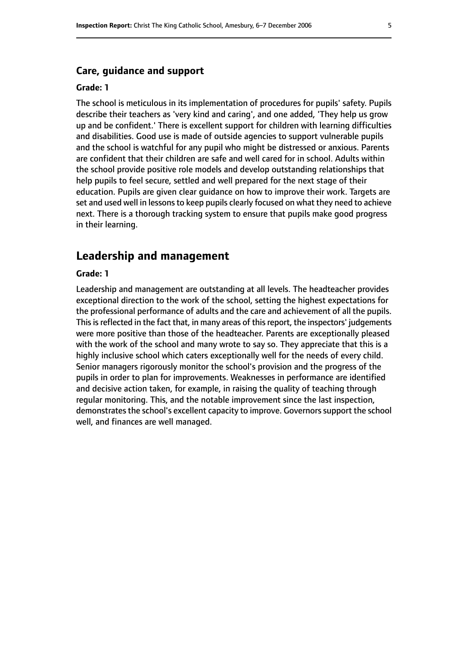#### **Care, guidance and support**

#### **Grade: 1**

The school is meticulous in its implementation of procedures for pupils' safety. Pupils describe their teachers as 'very kind and caring', and one added, 'They help us grow up and be confident.' There is excellent support for children with learning difficulties and disabilities. Good use is made of outside agencies to support vulnerable pupils and the school is watchful for any pupil who might be distressed or anxious. Parents are confident that their children are safe and well cared for in school. Adults within the school provide positive role models and develop outstanding relationships that help pupils to feel secure, settled and well prepared for the next stage of their education. Pupils are given clear guidance on how to improve their work. Targets are set and used well in lessons to keep pupils clearly focused on what they need to achieve next. There is a thorough tracking system to ensure that pupils make good progress in their learning.

#### **Leadership and management**

#### **Grade: 1**

Leadership and management are outstanding at all levels. The headteacher provides exceptional direction to the work of the school, setting the highest expectations for the professional performance of adults and the care and achievement of all the pupils. This is reflected in the fact that, in many areas of this report, the inspectors' judgements were more positive than those of the headteacher. Parents are exceptionally pleased with the work of the school and many wrote to say so. They appreciate that this is a highly inclusive school which caters exceptionally well for the needs of every child. Senior managers rigorously monitor the school's provision and the progress of the pupils in order to plan for improvements. Weaknesses in performance are identified and decisive action taken, for example, in raising the quality of teaching through regular monitoring. This, and the notable improvement since the last inspection, demonstrates the school's excellent capacity to improve. Governors support the school well, and finances are well managed.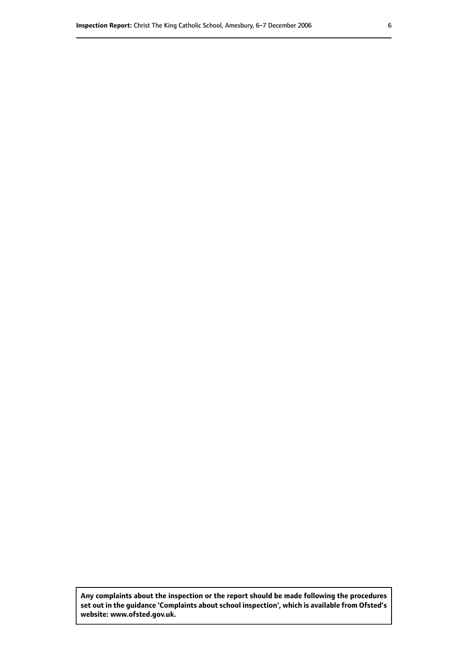**Any complaints about the inspection or the report should be made following the procedures set out inthe guidance 'Complaints about school inspection', whichis available from Ofsted's website: www.ofsted.gov.uk.**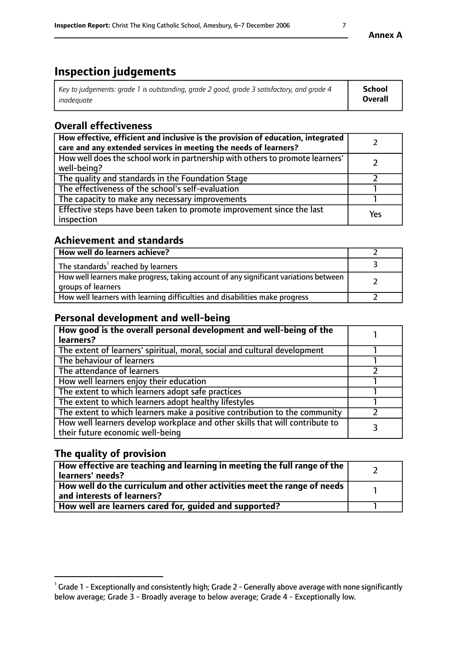# **Inspection judgements**

| Key to judgements: grade 1 is outstanding, grade 2 good, grade 3 satisfactory, and grade 4 | School         |
|--------------------------------------------------------------------------------------------|----------------|
| inadeauate                                                                                 | <b>Overall</b> |

# **Overall effectiveness**

| How effective, efficient and inclusive is the provision of education, integrated<br>care and any extended services in meeting the needs of learners? |     |
|------------------------------------------------------------------------------------------------------------------------------------------------------|-----|
| How well does the school work in partnership with others to promote learners'<br>well-being?                                                         |     |
| The quality and standards in the Foundation Stage                                                                                                    |     |
| The effectiveness of the school's self-evaluation                                                                                                    |     |
| The capacity to make any necessary improvements                                                                                                      |     |
| Effective steps have been taken to promote improvement since the last<br>inspection                                                                  | Yes |

# **Achievement and standards**

| How well do learners achieve?                                                                               |  |
|-------------------------------------------------------------------------------------------------------------|--|
| The standards <sup>1</sup> reached by learners                                                              |  |
| How well learners make progress, taking account of any significant variations between<br>groups of learners |  |
| How well learners with learning difficulties and disabilities make progress                                 |  |

# **Personal development and well-being**

| How good is the overall personal development and well-being of the<br>learners?                                  |  |
|------------------------------------------------------------------------------------------------------------------|--|
| The extent of learners' spiritual, moral, social and cultural development                                        |  |
| The behaviour of learners                                                                                        |  |
| The attendance of learners                                                                                       |  |
| How well learners enjoy their education                                                                          |  |
| The extent to which learners adopt safe practices                                                                |  |
| The extent to which learners adopt healthy lifestyles                                                            |  |
| The extent to which learners make a positive contribution to the community                                       |  |
| How well learners develop workplace and other skills that will contribute to<br>their future economic well-being |  |

# **The quality of provision**

| How effective are teaching and learning in meeting the full range of the<br>  learners' needs?                      |  |
|---------------------------------------------------------------------------------------------------------------------|--|
| $\mid$ How well do the curriculum and other activities meet the range of needs<br>$\mid$ and interests of learners? |  |
| How well are learners cared for, guided and supported?                                                              |  |

 $^1$  Grade 1 - Exceptionally and consistently high; Grade 2 - Generally above average with none significantly below average; Grade 3 - Broadly average to below average; Grade 4 - Exceptionally low.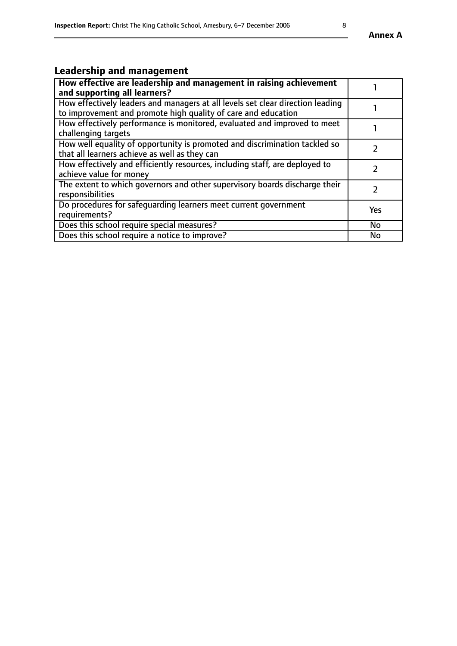# **Leadership and management**

| How effective are leadership and management in raising achievement<br>and supporting all learners?                                              |            |
|-------------------------------------------------------------------------------------------------------------------------------------------------|------------|
| How effectively leaders and managers at all levels set clear direction leading<br>to improvement and promote high quality of care and education |            |
| How effectively performance is monitored, evaluated and improved to meet<br>challenging targets                                                 |            |
| How well equality of opportunity is promoted and discrimination tackled so<br>that all learners achieve as well as they can                     |            |
| How effectively and efficiently resources, including staff, are deployed to<br>achieve value for money                                          |            |
| The extent to which governors and other supervisory boards discharge their<br>responsibilities                                                  |            |
| Do procedures for safequarding learners meet current government<br>requirements?                                                                | <b>Yes</b> |
| Does this school require special measures?                                                                                                      | No         |
| Does this school require a notice to improve?                                                                                                   | <b>No</b>  |